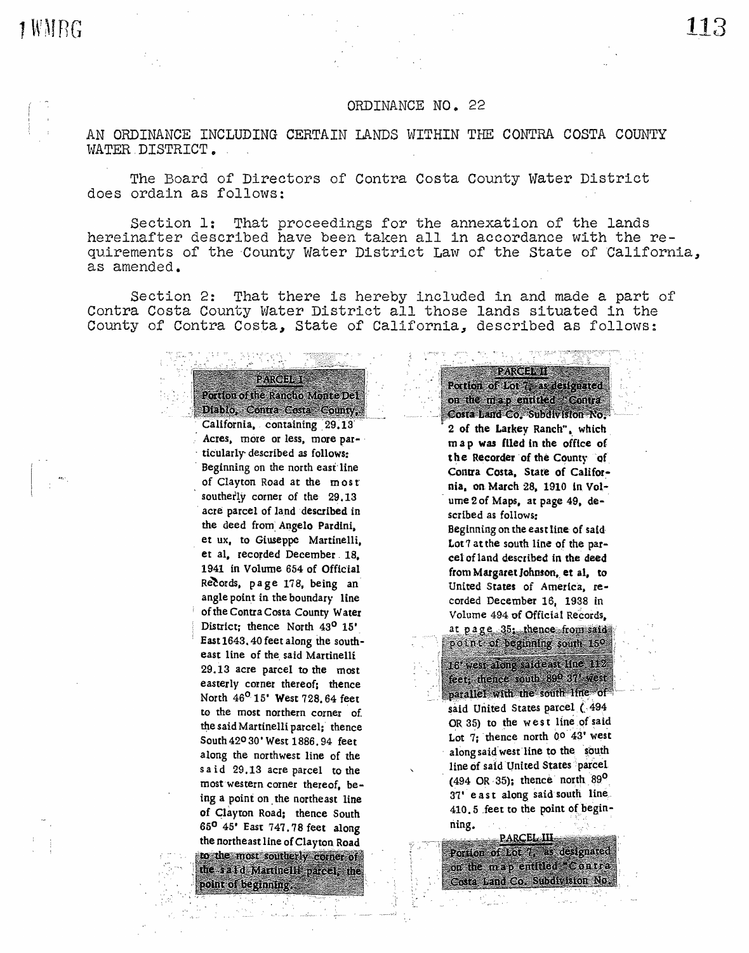1WMRG

# ORDINANCE NO. 22

AN ORDINANCE INCLUDING CERTAIN LANDS WITHIN THE CONTRA COSTA COUNTY WATER. DISTRICT.

The Board of Directors of Contra Costa County Water District does ordain as follows:

Section 1: That proceedings for the annexation of the lands hereinafter described have been taken all in accordance with the requirements of the County Water District Law of the State of California, as amended.

Section 2: That there is hereby included in and made a part of Contra Costa County Water District all those lands situated in the County of Contra Costa, State of California, described as follows:

> Diablo, Contra Costa County, California, containing 29.13 Acres, more or less, more particularly described as follows: Beginning on the north east line of Clayton Road at the most southerly corner of the 29.13 acre parcel of land described in the deed from Angelo Pardini, . et ux, to Giuseppe Martinelli. et al. recorded December 18. 1941 in Volume 654 of Official Records, page 178, being an angle point in the boundary line of the Contra Costa County Water District; thence North 43<sup>0</sup> 15' East1643.40 feetalong the southeast line of the said Martinelli 29. 13 acre parcel to the most easterly corner thereof; thence North 46<sup>0</sup> 15' West 728.64 feet to the most northern corner of. the said Martinelli parcel; thence South420 30' West 1886. 94 feet along the northwest line of the said 29.13 acre parcel to the most western corner thereof. being a point on the northeast line of Clayton Road; thence South 65° 45\* East 747. 78 feet along the northeast line of Clayton Road to the most southerly corner of the saild Martinelli parcel, the point of beginning.

124RCJ238

Portion of the Rancho Monte Del-

Portion of Lot 7, at designated on the map entitled "Contra-Costa Land Co. Subdivision No.

2 of the Larkey Ranch", which m a p was filed in the office of the Recorder of the County of Contra Costa, State of California, on March 28. 1910 in Vol• ume 2 of Maps, at page 49, described as follows:

Beginning on the east line. of said· Lot 7 at the south line of the parcel ofland described in the deed from Margaret Johnson, et al, to United States of America, recorded December 16, 1938 in Volume 494 of Official Records. at page 35: thence from said

point of beginning south 150 16' west along said east line 112 feet, thence south 89º 37' west parallel with the south line of<br>said United States parcel (494 OR 35) to the west line of said Lot  $7$ ; thence north 00 43' west

along said west line to the south line of said United States 'parcel  $(494 \text{ OR } 35)$ ; thence north  $89^\text{O}$ 37' e ast along said south line. 410.5 feet to the point of beginning.

PARCEL III Porton of Ford, as designated on the map entitled Contra Costa Land Co. Subdivision No.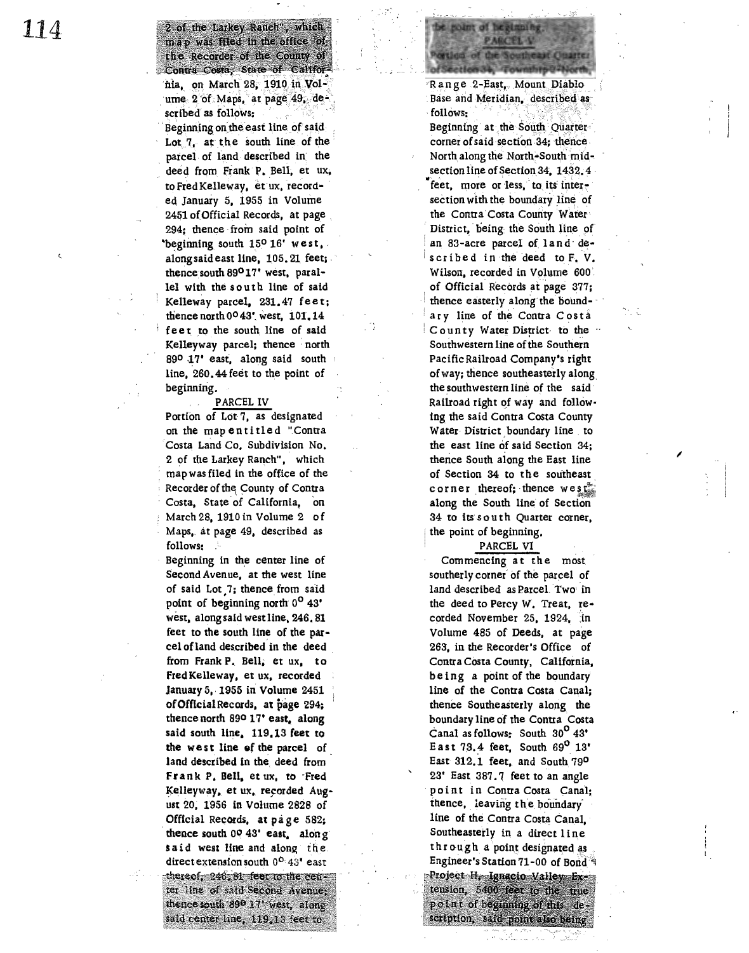map was filed in the office of the Recorder of the County of Contra Costa, State of California. on March 28, 1910 in Volume 2 of Maps, at page 49, de-

2 of the Larkey Ranch", which

scribed as follows:

Beginning on the east line of said. Lot  $7$ , at the south line of the parcel of land described in the deed from Frank· P. Bell, et ux. to Fred Kelleway, et ux, recorded January 5, 1955 in Volume 2451 of Official Records, at page 294; thence from said point of beginning south 150 16' west, along said east line, 105.21 feet; thence south  $89^{\circ}17'$  west. parallel with the south line of said Kelleway parcel, 231.47 feet; thence north  $0<sup>0</sup>43'$ , west,  $101.14$ feet to the south line of said **Kelleyway** parcel; thence *:* north 890 17' east, along said south line, 260.44 feet to the point of beginning.

#### PARCELIV

Portion of Lot-7, as designated on the map entitled "Contra · Costa Land Co. Subdivision No. 2 of the Larkey Ranch", which map was filed in the office of the Recorder of the County of Contra Costa, State of California, on March 28. 1910 in Volume 2 of Maps, at page 49, described as follows:

Beginning in the center line of Second Avenue, at the west line of said Lot 7; thence from said point of beginning north 0<sup>0</sup> 43' west, along said west line, 246.81 feet to the south line of the parcel of land described in the deed from Frank P. Bell; et ux, to Fred Kelleway, et ux, recorded January 5,. 1955 in Volume 2451 **ofOfflcialRec01ds1 at page** 294: thence north ago 17• east, along said south line. 119.13 feet to the west line of the parcel of land described in the deed from Frank P. Bell, et ux, to Fred Kelleyway, et ux. recorded August 20, 1956 in Volume 2828 of Official Records, at page 582; thence south oo 43• **east,** along said west line and along the. direct extension south 0<sup>0</sup> 43' east thereof, 246, 81 feet to the center line of said Second Avenue; thence south 890 17' west, along said center line, 119, 13 feet to

Range 2-East, Mount Diablo Base and Meridian, described as -follows:

point of heginning

**PARCEL-V** 

etion of the Southeast Cinatter

etlen 34, Township@ Nord

Beginning at the South Quarter<br>corner of said section 34; thence North along the North+South midsection line of Section  $34, 1432, 4$ feet, more or less, to its intersection with the boundary line of the Contra Costa County Water District, being the South line of an 83-acre parcel of land described in the deed to F. V. Wilson, recorded in Volume 600: of Official Records at page 377; thence easterly along the boundary line of the Contra Costa County Water Disfrict· *to* the .. Southwestern line of the Southern Pacific Railroad Company's right of way: thence southeasterly along, the southwestern line of the said· Railroad right of way and following the said Contra Costa County Water-District boundary line to the east line of said Section 34; thence South aiong the East line of Section 34 to the southeast c or n er thereof; thence we st along the South line of Section 34 to its south Quarter corner, the point of beginning.

### PARCEL VI

*I* 

Commencing at the most southerly corner of the parcel of land described as Parcel. Two in the deed to Percy W. Treat,  $re$ corded November 25, 1924, in Volume 485 of Deeds, at page 263, in the Recorder•s Office of Contra Costa County, California, being a point of the boundary line of the Contra Costa Canal; thence Southeasterly along the boundary line of the Contra Costa Canal as follows: South  $30^{\circ}$  43' East 73.4 feet, South  $69^{\circ}$  13' East 312.1 feet, and South 790 23' East 387. 7 feet to an angle point in Contra Costa Canal: thence, leaving the boundary line of the Contra Costa Canal. Southeasterly in a direct line th rough a point designated as Engineer's Station 71-00 of Bond Project H. Janacio Valley Extension, 5400 feet to the true point of beginning of this description, said point also being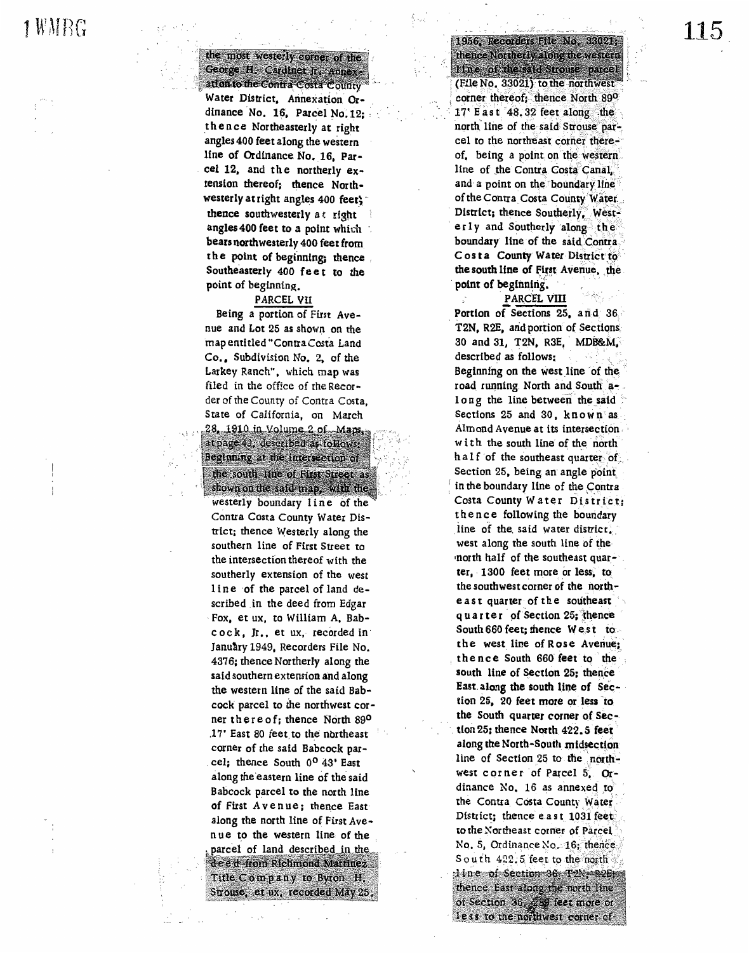1 WMBG

the most westerly corner of the George H. Cardinet Jr. Annex ation to the Contra Costa County Water District, Annexation Ordinance No. 16, Parcel No. 12: thence Northeasterly at right angles 400 feet along the western line of Ordinance No. 16, Parcel 12, and the northerly extension thereof; thence Northwesterly at right angles 400 feet; thence southwesterly at right angles 400 feet to a point which bears northwesterly 400 feet from the point of beginning; thence Southeasterly 400 feet to the point of beginning.

#### PARCEL VII

Being a portion of First Avenue and Lot 25 as shown on the map entitled "Contra Costa Land Co., Subdivision No. 2, of the Larkey Ranch", which map was filed in the office of the Recorder of the County of Contra Costa. State of California, on March 28, 1910 in Volume 2 of Maps.

at page 49, described as follows: Beginning at the intersection of the south thre of First Street as

shown on the said map, with the westerly boundary line of the Contra Costa County Water District; thence Westerly along the southern line of First Street to the intersection thereof with the southerly extension of the west line of the parcel of land described in the deed from Edgar Fox, et ux, to William A, Babcock, Ir., et ux, recorded in January 1949, Recorders File No. 4376; thence Northerly along the said southern extension and along the western line of the said Babcock parcel to the northwest corner there of; thence North 890 17' East 80 feet to the northeast corner of the said Babcock parcel; thence South 0° 43' East along the eastern line of the said Babcock parcel to the north line of First Avenue; thence East along the north line of First Avenue to the western line of the parcel of land described in the de e d'from Richmond Martinez Title Company to Byton H. Strouse, et ux, recorded May 25,

1956, Recorders File No. 33021, thence Northerly along the western The of the said Shouse parcel (File No. 33021) to the northwest corner thereof; thence North 890 17' East 48.32 feet along the north line of the said Strouse parcel to the northeast corner thereof, being a point on the western line of the Contra Costa Canal. and a point on the boundary line of the Contra Costa County Water District; thence Southerly, Westerly and Southerly along the boundary line of the said Contra. Costa County Water District to the south line of First Avenue, the point of beginning.

PARCEL VIII

Portion of Sections 25, and 36 T2N, R2E, and portion of Sections 30 and 31, T2N, R3E, MDB&M, described as follows: Beginning on the west line of the road running North and South along the line between the said Sections 25 and 30, known as Almond Avenue at its intersection with the south line of the north half of the southeast quarter of Section 25, being an angle point in the boundary line of the Contra Costa County Water District; thence following the boundary line of the said water district. west along the south line of the north half of the southeast quarter, 1300 feet more or less, to the southwest corner of the northeast quarter of the southeast quarter of Section 25; thence South 660 feet; thence West to the west line of Rose Avenue: thence South 660 feet to the south line of Section 25; thence East along the south line of Section 25. 20 feet more or less to the South quarter corner of Section 25; thence North 422.5 feet along the North-South midsection line of Section 25 to the northwest corner of Parcel 5. Ordinance No. 16 as annexed to the Contra Costa County Water District; thence east 1031 feet: to the Northeast corner of Parcel No. 5, Ordinance No.  $16$ ; thence. South 422.5 feet to the north dine of Section 36 T2N-R2E thence East along the north line of Section 36, 289 feet more or less to the northwest corner of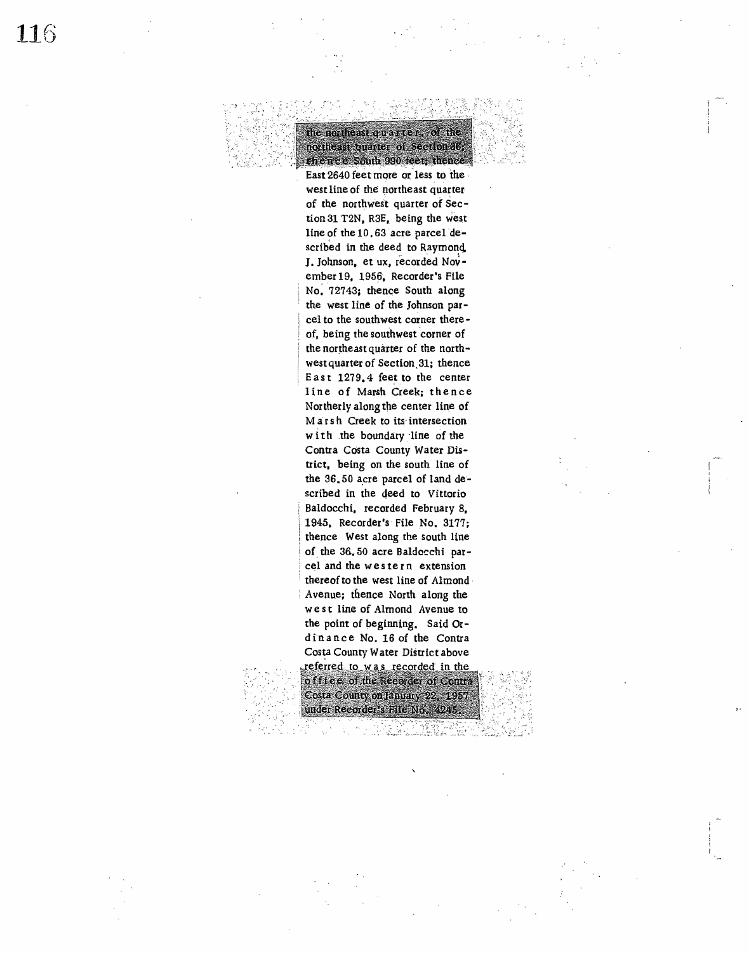# the northeast quarter, of the northeast buarter of Section 36, the neel South 990 feet; thence East 2640 feet more or less to the

west line of the northeast quarter of the northwest quarter of Section 31 T2N. R3E, being the west line of the 10.63 acre parcel described in the deed to Raymond. J. Johnson, et ux, recorded November 19, 1956, Recorder's File No. 72743; thence South along the west line of the Johnson parcel to the southwest corner thereof, being the southwest corner of the northeast quarter of the northwest quarter of Section. 31; thence East  $1279.4$  feet to the center line of Marsh Creek; thence Northerly along the center line of Marsh Creek to its intersection with the boundary line of the Contra Costa County Water Dis• **trict,** being on the south line of the 36.50 acre parcel of land described in the qeed to Vittorio Baldocchi, recorded February 8, 1945. Recorder's- File No. 3177; thence **West** along the south line of. the 36. 50 acre Baldocchi parcel and the we s tern extension thereof to the west line of Almond• Avenue; thence North along the west line of Almond Avenue to the point of beginning. Said Ordinance No. 16 of the Contra Costa County Water District above referred to was recorded in the

of file e of the Recorder of Contra Costa County on January 22, 1957 under Recorder's File No. 4245.

*,,,:*